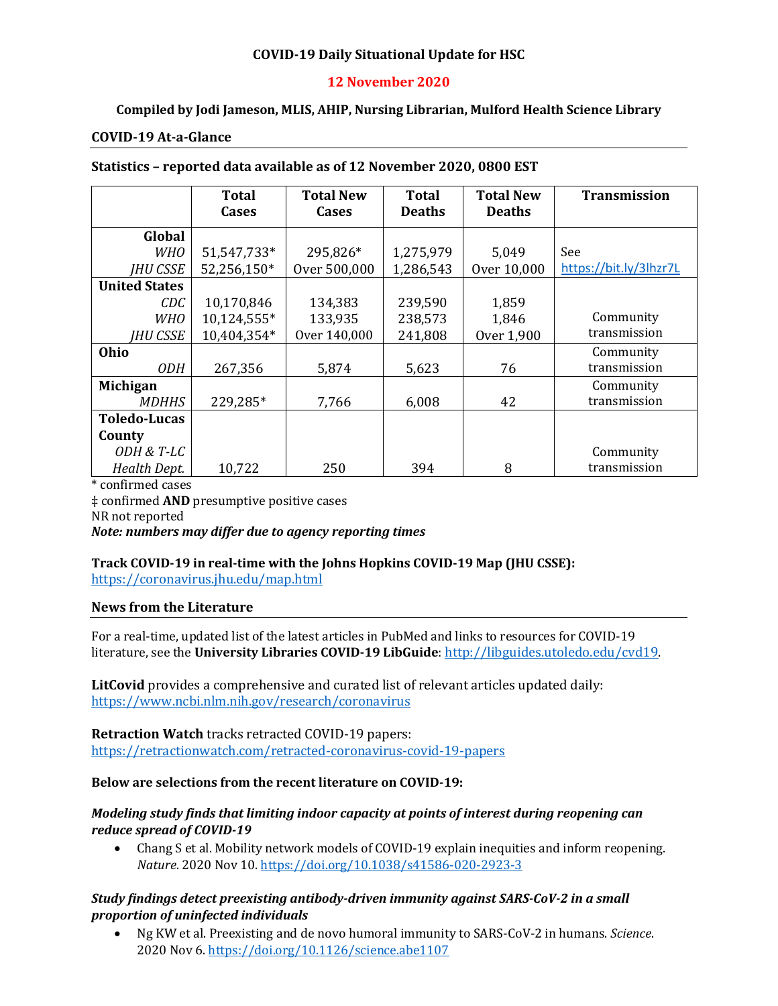### **COVID-19 Daily Situational Update for HSC**

### **12 November 2020**

### **Compiled by Jodi Jameson, MLIS, AHIP, Nursing Librarian, Mulford Health Science Library**

#### **COVID-19 At-a-Glance**

| Statistics - reported data available as of 12 November 2020, 0800 EST |  |
|-----------------------------------------------------------------------|--|
|-----------------------------------------------------------------------|--|

|                      | Total<br><b>Cases</b> | <b>Total New</b><br><b>Cases</b> | <b>Total</b><br><b>Deaths</b> | <b>Total New</b><br><b>Deaths</b> | <b>Transmission</b>    |
|----------------------|-----------------------|----------------------------------|-------------------------------|-----------------------------------|------------------------|
|                      |                       |                                  |                               |                                   |                        |
| Global               |                       |                                  |                               |                                   |                        |
| WHO                  | 51,547,733*           | 295,826*                         | 1,275,979                     | 5,049                             | See                    |
| <b>IHU CSSE</b>      | 52,256,150*           | Over 500,000                     | 1,286,543                     | Over 10,000                       | https://bit.ly/3lhzr7L |
| <b>United States</b> |                       |                                  |                               |                                   |                        |
| CDC                  | 10,170,846            | 134,383                          | 239,590                       | 1,859                             |                        |
| <b>WHO</b>           | 10,124,555*           | 133,935                          | 238,573                       | 1,846                             | Community              |
| <b>IHU CSSE</b>      | 10,404,354*           | Over 140,000                     | 241,808                       | Over 1,900                        | transmission           |
| Ohio                 |                       |                                  |                               |                                   | Community              |
| <i>ODH</i>           | 267,356               | 5,874                            | 5,623                         | 76                                | transmission           |
| Michigan             |                       |                                  |                               |                                   | Community              |
| <b>MDHHS</b>         | 229,285*              | 7,766                            | 6,008                         | 42                                | transmission           |
| <b>Toledo-Lucas</b>  |                       |                                  |                               |                                   |                        |
| County               |                       |                                  |                               |                                   |                        |
| ODH & T-LC           |                       |                                  |                               |                                   | Community              |
| Health Dept.         | 10,722                | 250                              | 394                           | 8                                 | transmission           |

\* confirmed cases ‡ confirmed **AND** presumptive positive cases NR not reported *Note: numbers may differ due to agency reporting times* 

# **Track COVID-19 in real-time with the Johns Hopkins COVID-19 Map (JHU CSSE):**

<https://coronavirus.jhu.edu/map.html>

#### **News from the Literature**

For a real-time, updated list of the latest articles in PubMed and links to resources for COVID-19 literature, see the **University Libraries COVID-19 LibGuide**[: http://libguides.utoledo.edu/cvd19.](http://libguides.utoledo.edu/cvd19) 

**LitCovid** provides a comprehensive and curated list of relevant articles updated daily: <https://www.ncbi.nlm.nih.gov/research/coronavirus>

**Retraction Watch** tracks retracted COVID-19 papers: [https://retractionwatch.com/retracted-coronavirus-covid-19-papers](https://retractionwatch.com/retracted-coronavirus-covid-19-papers/)

#### **Below are selections from the recent literature on COVID-19:**

#### *Modeling study finds that limiting indoor capacity at points of interest during reopening can reduce spread of COVID-19*

• Chang S et al. Mobility network models of COVID-19 explain inequities and inform reopening. *Nature*. 2020 Nov 10[. https://doi.org/10.1038/s41586-020-2923-3](https://doi.org/10.1038/s41586-020-2923-3)

### *Study findings detect preexisting antibody-driven immunity against SARS-CoV-2 in a small proportion of uninfected individuals*

• Ng KW et al. Preexisting and de novo humoral immunity to SARS-CoV-2 in humans. *Science*. 2020 Nov 6. <https://doi.org/10.1126/science.abe1107>